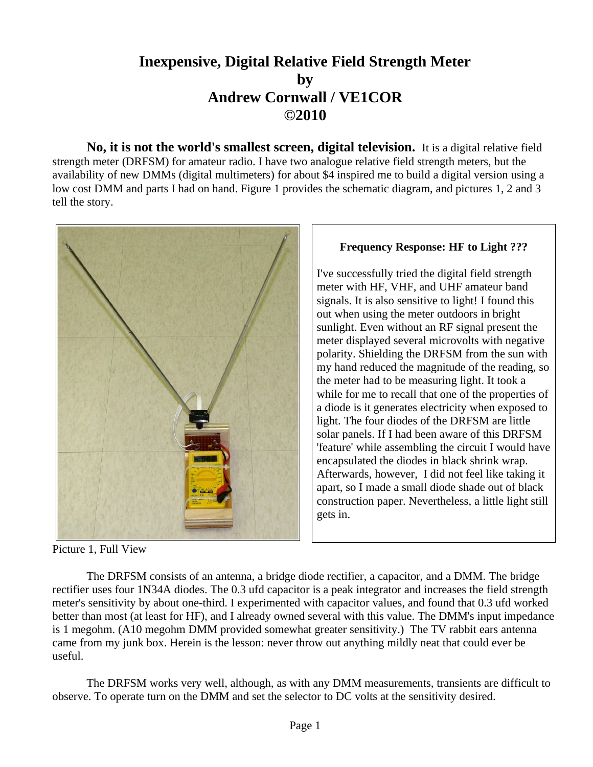## **Inexpensive, Digital Relative Field Strength Meter by Andrew Cornwall / VE1COR ©2010**

**No, it is not the world's smallest screen, digital television.** It is a digital relative field strength meter (DRFSM) for amateur radio. I have two analogue relative field strength meters, but the availability of new DMMs (digital multimeters) for about \$4 inspired me to build a digital version using a low cost DMM and parts I had on hand. Figure 1 provides the schematic diagram, and pictures 1, 2 and 3 tell the story.



Picture 1, Full View

## The DRFSM consists of an antenna, a bridge diode rectifier, a capacitor, and a DMM. The bridge rectifier uses four 1N34A diodes. The 0.3 ufd capacitor is a peak integrator and increases the field strength meter's sensitivity by about one-third. I experimented with capacitor values, and found that 0.3 ufd worked better than most (at least for HF), and I already owned several with this value. The DMM's input impedance is 1 megohm. (A10 megohm DMM provided somewhat greater sensitivity.) The TV rabbit ears antenna came from my junk box. Herein is the lesson: never throw out anything mildly neat that could ever be useful.

The DRFSM works very well, although, as with any DMM measurements, transients are difficult to observe. To operate turn on the DMM and set the selector to DC volts at the sensitivity desired.

## **Frequency Response: HF to Light ???**

I've successfully tried the digital field strength meter with HF, VHF, and UHF amateur band signals. It is also sensitive to light! I found this out when using the meter outdoors in bright sunlight. Even without an RF signal present the meter displayed several microvolts with negative polarity. Shielding the DRFSM from the sun with my hand reduced the magnitude of the reading, so the meter had to be measuring light. It took a while for me to recall that one of the properties of a diode is it generates electricity when exposed to light. The four diodes of the DRFSM are little solar panels. If I had been aware of this DRFSM 'feature' while assembling the circuit I would have encapsulated the diodes in black shrink wrap. Afterwards, however, I did not feel like taking it apart, so I made a small diode shade out of black construction paper. Nevertheless, a little light still gets in.